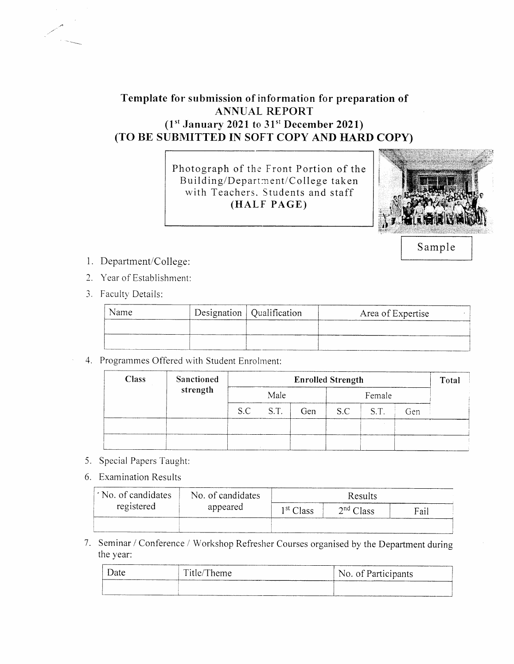## Template for submission of information for preparation of **ANNUAL REPORT**  $(1<sup>st</sup> January 2021 to 31<sup>st</sup> December 2021)$ (TO BE SUBMITTED IN SOFT COPY AND HARD COPY)

Photograph of the Front Portion of the Building/Department/College taken with Teachers. Students and staff (HALF PAGE)



Sample

- 1 l. Department/College:
- 2. Year of Establishment:
- 3. Faculty Details:

| Name | Designation   Qualification | Area of Expertise |
|------|-----------------------------|-------------------|
|      |                             |                   |
|      |                             |                   |

4. Programmes Offered with Student Enrolment:

| <b>Class</b> | Sanctioned | <b>Enrolled Strength</b> |      |        |     | Total |     |  |
|--------------|------------|--------------------------|------|--------|-----|-------|-----|--|
|              | strength   | Male                     |      | Female |     |       |     |  |
|              |            | S.C                      | S.T. | Gen    | S.C | S.T.  | Gen |  |
|              |            |                          |      |        |     |       |     |  |
|              |            |                          |      |        |     |       |     |  |

- 5. Special Papers Taught
- 6. Examination Results

| No. of candidates | No. of candidates | Results               |                       |      |
|-------------------|-------------------|-----------------------|-----------------------|------|
| registered        | appeared          | 1 <sup>st</sup> Class | 2 <sup>nd</sup> Class | Fail |
|                   |                   |                       |                       |      |

7. Seminar / Conference / Workshop Refresher Courses organised by the Department during the year:

| Date | Title/Theme                                     | No. of Participants |  |
|------|-------------------------------------------------|---------------------|--|
|      | the contract of the contract of the contract of |                     |  |